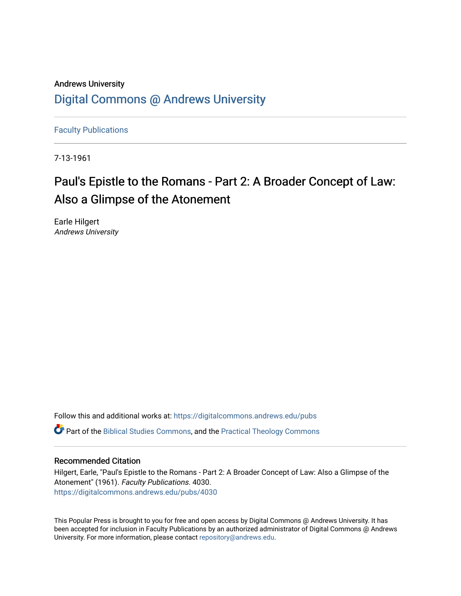### Andrews University [Digital Commons @ Andrews University](https://digitalcommons.andrews.edu/)

[Faculty Publications](https://digitalcommons.andrews.edu/pubs)

7-13-1961

## Paul's Epistle to the Romans - Part 2: A Broader Concept of Law: Also a Glimpse of the Atonement

Earle Hilgert Andrews University

Follow this and additional works at: [https://digitalcommons.andrews.edu/pubs](https://digitalcommons.andrews.edu/pubs?utm_source=digitalcommons.andrews.edu%2Fpubs%2F4030&utm_medium=PDF&utm_campaign=PDFCoverPages)  Part of the [Biblical Studies Commons,](http://network.bepress.com/hgg/discipline/539?utm_source=digitalcommons.andrews.edu%2Fpubs%2F4030&utm_medium=PDF&utm_campaign=PDFCoverPages) and the [Practical Theology Commons](http://network.bepress.com/hgg/discipline/1186?utm_source=digitalcommons.andrews.edu%2Fpubs%2F4030&utm_medium=PDF&utm_campaign=PDFCoverPages) 

#### Recommended Citation

Hilgert, Earle, "Paul's Epistle to the Romans - Part 2: A Broader Concept of Law: Also a Glimpse of the Atonement" (1961). Faculty Publications. 4030. [https://digitalcommons.andrews.edu/pubs/4030](https://digitalcommons.andrews.edu/pubs/4030?utm_source=digitalcommons.andrews.edu%2Fpubs%2F4030&utm_medium=PDF&utm_campaign=PDFCoverPages) 

This Popular Press is brought to you for free and open access by Digital Commons @ Andrews University. It has been accepted for inclusion in Faculty Publications by an authorized administrator of Digital Commons @ Andrews University. For more information, please contact [repository@andrews.edu](mailto:repository@andrews.edu).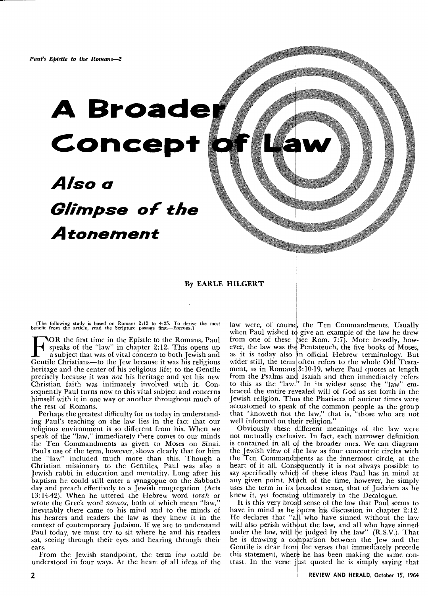# **A Broader Concept**

## *Also a Glimpse of the Atonement*

#### By EARLE HILGERT

[The following study is based on Romans 2:12 to 4:25. To derive the most benefit from the article, read the Scripture passage first.—EDITORS.]

**FOR** the first time in the Epistle to the Romans, Paul speaks of the "law" in chapter 2:12. This opens up a subject that was of vital concern to both Jewish and Gentile Christians—to the Jew because it was his religious speaks of the "law" in chapter 2:12. This opens up a subject that was of vital concern to both Jewish and heritage and the center of his religious life; to the Gentile precisely because it was *not* his heritage and yet his new Christian faith was intimately involved with it. Consequently Paul turns now to this vital subject and concerns himself with it in one way or another throughout much of the rest of Romans.

Perhaps the greatest difficulty for us today in understanding Paul's teaching on the law lies in the fact that our religious environment is so different from his. When we speak of the "law," immediately there comes to our minds the Ten Commandments as given to Moses on Sinai. Paul's use of the term, however, shows clearly that for him the "law" included much more than this. Though a Christian missionary to the Gentiles, Paul was also a Jewish rabbi in education and mentality. Long after his baptism he could still enter a synagogue on the Sabbath day and preach effectively to a Jewish congregation (Acts 13:14-42). When he uttered the Hebrew word *torah* or wrote the Greek word *nomos,* both of which mean "law," inevitably there came to his mind and to the minds of his hearers and readers the law as they knew it in the context of contemporary Judaism. If we are to understand Paul today, we must try to sit where he and his readers sat, seeing through their eyes and hearing through their ears.

From the Jewish standpoint, the term *law* could be understood in four ways. At the heart of all ideas of the law were, of course, the Ten Commandments. Usually when Paul wished to give an example of the law he drew from one of these (see Rom. 7:7). More broadly, however, the law was the Pentateuch, the five books of Moses, as it is today also 'n official Hebrew terminology. But wider still, the term often refers to the whole Old Testament, as in Romans  $3:10-19$ , where Paul quotes at length from the Psalms and Isaiah and then immediately refers to this as the "law." In its widest sense the "law" embraced the entire revealed will of God as set forth in the Jewish religion. Thus the Pharisees of ancient times were accustomed to speak of the common people as the group that "knoweth not the law," that is, "those who are not well informed on their religion.'

Obviously these different meanings of the law were not mutually exclusive. In fact, each narrower definition is contained in all of the broader ones. We can diagram the Jewish view of the law as four concentric circles with the Ten Commandments as the innermost circle, at the heart of it all. Consequently it is not always possible to say specifically which of these ideas Paul has in mind at any given point. Much of the time, however, he simply uses the term in its broadest sense, that of Judaism as he knew it, yet focusing ultimately in the Decalogue.

It is this very broad sense of the law that Paul seems to have in mind as he opens his discussion in chapter 2:12. He declares that "all who have sinned without the law will also perish without the law, and all who have sinned under the law, will be judged by the law" (R.S.V.). That he is drawing a comparison between the Jew and the Gentile is clear from the verses that immediately precede this statement, where he has been making the same contrast. In the verse just quoted he is simply saying that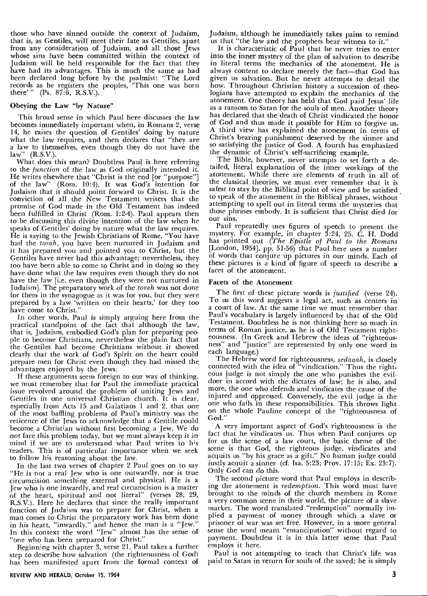those who have sinned outside the context of Judaism, that is, as Gentiles, will meet their fate as Gentiles, apart from any consideration of Judaism, and all those Jews whose sins have been committed within the context of Judaism will be held responsible for the fact that they have had its advantages. This is much the same as had been declared long before by the psalmist: "The Lord records as he registers the peoples, 'This one was born there'" (Ps. 87:6, R.S.V.).

#### **Obeying the Law "by Nature"**

This broad sense in which Paul here discusses the law becomes immediately important when, in Romans 2, verse 14, he raises the question of Gentiles' doing by nature what the law requires, and then declares that "they are a law to themselves, even though they do not have the law"  $(R.S.V.)$ .  $(R.S.V.)$ .

What does this mean? Doubtless Paul is here referring to the *function* of the law as God originally *intended* it. He writes elsewhere that "Christ is the end [or "purpose"] of the law" (Rom. 10:4). It was God's intention for Judaism that it should point forward to Christ. It is the conviction of all the New Testament writers that the promise of God made in the Old Testament has indeed been fulfilled in Christ (Rom. 1:2-4). Paul appears then to be discussing this divine intention of the law when he speaks of Gentiles' doing by nature what the law requires. He is saying to the Jewish Christians of Rome, "You have had the *torah,* you have been nurtured in Judaism and it has prepared you and pointed you to Christ, but the Gentiles *have never* had this advantage; nevertheless, they too have been able to come to Christ and in doing so they have done what the law requires even though they do not have the law [i.e. even though they were not nurtured in Judaism]. The preparatory work of the *torah* was not done for them in the synagogue as it was for you, but they were prepared by a law 'written on their hearts,' for they too have come to Christ."

In other words, Paul is simply arguing here from the practical standpoint of the fact that although the law, that is, Judaism, embodied God's plan for preparing people to become Christians, nevertheless the plain fact that the Gentiles had become Christians without it showed clearly that the work of God's Spirit on the heart could prepare men for Christ even though they had missed the. advantages enjoyed by the Jews.

If these arguments seem foreign to our way of thinking, we must remember that for Paul the immediate practical issue revolved around the problem of uniting Jews and Gentiles in one universal Christian church. It is clear, especially from Acts 15 and Galatians **1** and 2, that one of the most baffling problems of Paul's ministry was the reticence of the Jews to acknowledge that a Gentile could become a Christian without first becoming a Jew. We do not face this problem today, but we must always keep it in mind if we are to understand what Paul writes to his readers. This is of particular importance when we seek to follow his reasoning about the law.

In the last two verses of chapter 2 Paul goes on to say "He is not a real Jew who is one outwardly, nor is true circumcision something external and physical. He is a Jew who is one inwardly, and real circumcision is a matter of the heart, spiritual and not literal" (verses 28, 29, R.S.V.). Here he declares that since the really important function of Judaism was to prepare for Christ, when a man comes to Christ the preparatory work has been done in his heart, "inwardly," and hence the man is a "Jew." In this context the word "Jew" almost has the sense of "one who has been prepared for Christ."

Beginning with chapter 3, verse 21, Paul takes a further step to describe how salvation (the righteousness of God) has been manifested apart from the formal context of Judaism, although he immediately takes pains to remind us that "the law and the prophets bear witness to it."

It is characteristic of Paul that he never tries to enter into the inner mystery of the plan of salvation to describe in literal terms the mechanics of the atonement. He is always content to declare merely the fact—that God has given us salvation. But he never attempts to detail the how. Throughout Christian history a succession of theologians have attempted to explain the mechanics of the atonement. One theory has held that God paid Jesus' life as a ransom to Satan for the souls of men. Another theory has declared that the death of Christ vindicated the honor of God and thus made it possible for Him to forgive us. A third view has explained the atonement in terms of Christ's bearing punishment deserved by the sinner and so satisfying the justice of God. A fourth has emphasized the dynamic of Christ's self-sacrificing example.

The Bible, however, never attempts to set forth a detailed, literal explanation of the inner workings of the atonement. While there are elements of truth in all of the classical theories, we must ever remember that it is safest to stay by the Biblical point of view and be satisfied to speak of the atonement in the Biblical phrases, without attempting to spell out in literal terms the mysteries that those phrases embody. It is sufficient that Christ died for our sins.

Paul repeatedly uses figures of speech to present the mystery. For example, in chapter 3:24, 25. C. H. Dodd has pointed out *(The Epistle of Paul to the Romans*  [London, 1954], pp. 51-56) that Paul here uses a number of words that conjure up pictures in our minds. Each of these pictures is a kind of figure of speech to describe a facet of the atonement.

#### **Facets of the Atonement**

The first of these picture words is *justified* (verse 24). To us this word suggests a legal act, such as centers in a court of law. At the same time we must remember that Paul's vocabulary is largely influenced by that of the Old Testament. Doubtless he is not thinking here so much in terms of Roman justice, as he is of Old Testament righteousness. (In Greek and Hebrew the ideas of "righteousness" and "justice" are represented by only one word in each language.)

The Hebrew word for righteousness, *sedaaah,* is closely connected with the idea of "vindication." Thus the righteous judge is not simply the one who punishes the evildoer in accord with the dictates of law; he is also, and more, the one who defends and vindicates the cause of the injured and oppressed. Conversely, the evil judge is the one who fails in these responsibilities. This throws light on the whole Pauline concept of the "righteousness of God."

A very important aspect of God's righteousness is the fact that he vindicates us. Thus when Paul conjures up for us the scene of a law court, the basic theme of the scene is that God, the righteous judge, vindicates and acquits us "by his grace as a gift." No human judge could justly acquit a sinner (cf. Isa. 5:23; Prov. 17:15; Ex. 23:7). Only God can do this.

The second picture word that Paul employs in describing the atonement is *redemption.* This word must have brought to the minds of the church members in Rome a very common scene in their world, the picture of a slave market. The word translated "redemption" normally implied a payment of money through which a slave or prisoner of war was set free. However, in a more general sense the word meant "emancipation" without regard to payment. Doubtless it is in this latter sense that Paul employs it here.

Paul is not attempting to teach that Christ's life was paid to Satan in return for souls of the saved; he is simply